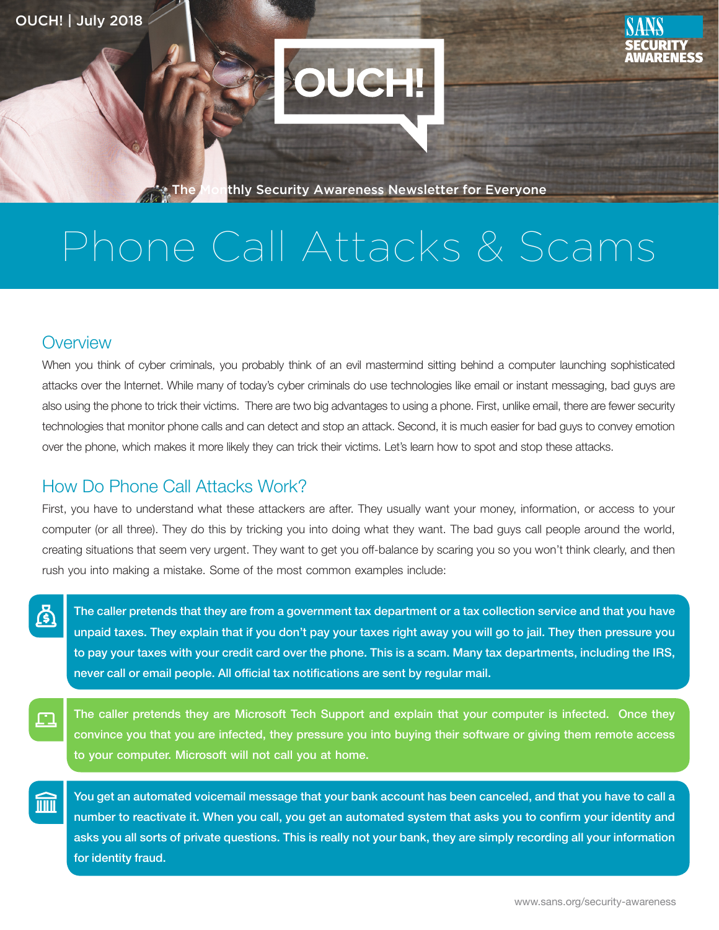

**The Monthly Security Awareness Newsletter for Everyone** 

# Phone Call Attacks & Scams

#### **Overview**

ረቃ

fill

When you think of cyber criminals, you probably think of an evil mastermind sitting behind a computer launching sophisticated attacks over the Internet. While many of today's cyber criminals do use technologies like email or instant messaging, bad guys are also using the phone to trick their victims. There are two big advantages to using a phone. First, unlike email, there are fewer security technologies that monitor phone calls and can detect and stop an attack. Second, it is much easier for bad guys to convey emotion over the phone, which makes it more likely they can trick their victims. Let's learn how to spot and stop these attacks.

### How Do Phone Call Attacks Work?

First, you have to understand what these attackers are after. They usually want your money, information, or access to your computer (or all three). They do this by tricking you into doing what they want. The bad guys call people around the world, creating situations that seem very urgent. They want to get you off-balance by scaring you so you won't think clearly, and then rush you into making a mistake. Some of the most common examples include:

The caller pretends that they are from a government tax department or a tax collection service and that you have unpaid taxes. They explain that if you don't pay your taxes right away you will go to jail. They then pressure you to pay your taxes with your credit card over the phone. This is a scam. Many tax departments, including the IRS, never call or email people. All official tax notifications are sent by regular mail.

The caller pretends they are Microsoft Tech Support and explain that your computer is infected. Once they 口<br>一 convince you that you are infected, they pressure you into buying their software or giving them remote access to your computer. Microsoft will not call you at home.

You get an automated voicemail message that your bank account has been canceled, and that you have to call a number to reactivate it. When you call, you get an automated system that asks you to confirm your identity and asks you all sorts of private questions. This is really not your bank, they are simply recording all your information for identity fraud.